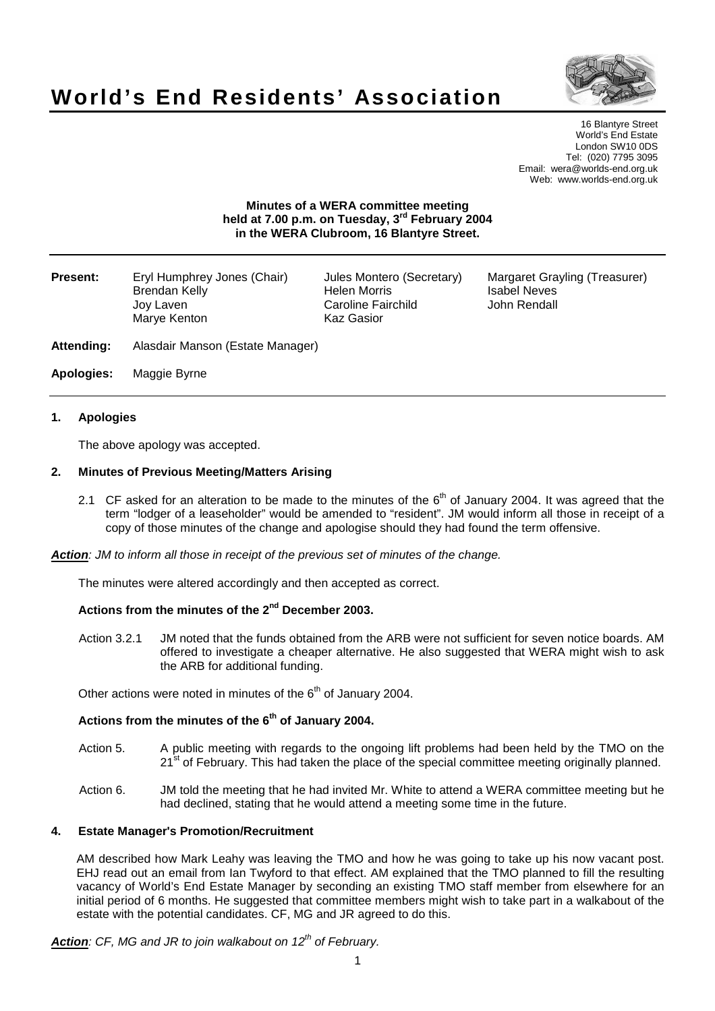# **World's End Residents' Association**



16 Blantyre Street World's End Estate London SW10 0DS Tel: (020) 7795 3095 Email: wera@worlds-end.org.uk Web: www.worlds-end.org.uk

# **Minutes of a WERA committee meeting held at 7.00 p.m. on Tuesday, 3 rd February 2004 in the WERA Clubroom, 16 Blantyre Street.**

| <b>Present:</b>   | Eryl Humphrey Jones (Chair)<br>Brendan Kelly<br>Joy Laven<br>Marye Kenton | Jules Montero (Secretary)<br><b>Helen Morris</b><br>Caroline Fairchild<br><b>Kaz Gasior</b> | Margaret Grayling (Treasurer)<br><b>Isabel Neves</b><br>John Rendall |
|-------------------|---------------------------------------------------------------------------|---------------------------------------------------------------------------------------------|----------------------------------------------------------------------|
| <b>Attending:</b> | Alasdair Manson (Estate Manager)                                          |                                                                                             |                                                                      |
| Apologies:        | Maggie Byrne                                                              |                                                                                             |                                                                      |

**1. Apologies**

The above apology was accepted.

#### **2. Minutes of Previous Meeting/Matters Arising**

2.1 CF asked for an alteration to be made to the minutes of the  $6<sup>th</sup>$  of January 2004. It was agreed that the term "lodger of a leaseholder" would be amended to "resident". JM would inform all those in receipt of a copy of those minutes of the change and apologise should they had found the term offensive.

**Action**: JM to inform all those in receipt of the previous set of minutes of the change.

The minutes were altered accordingly and then accepted as correct.

# **Actions from the minutes of the 2 nd December 2003.**

Action 3.2.1 JM noted that the funds obtained from the ARB were not sufficient for seven notice boards. AM offered to investigate a cheaper alternative. He also suggested that WERA might wish to ask the ARB for additional funding.

Other actions were noted in minutes of the  $6<sup>th</sup>$  of January 2004.

## **Actions from the minutes of the 6 th of January 2004.**

- Action 5. A public meeting with regards to the ongoing lift problems had been held by the TMO on the 21<sup>st</sup> of February. This had taken the place of the special committee meeting originally planned.
- Action 6. JM told the meeting that he had invited Mr. White to attend a WERA committee meeting but he had declined, stating that he would attend a meeting some time in the future.

#### **4. Estate Manager's Promotion/Recruitment**

AM described how Mark Leahy was leaving the TMO and how he was going to take up his now vacant post. EHJ read out an email from Ian Twyford to that effect. AM explained that the TMO planned to fill the resulting vacancy of World's End Estate Manager by seconding an existing TMO staff member from elsewhere for an initial period of 6 months. He suggested that committee members might wish to take part in a walkabout of the estate with the potential candidates. CF, MG and JR agreed to do this.

Action: CF, MG and JR to join walkabout on 12<sup>th</sup> of February.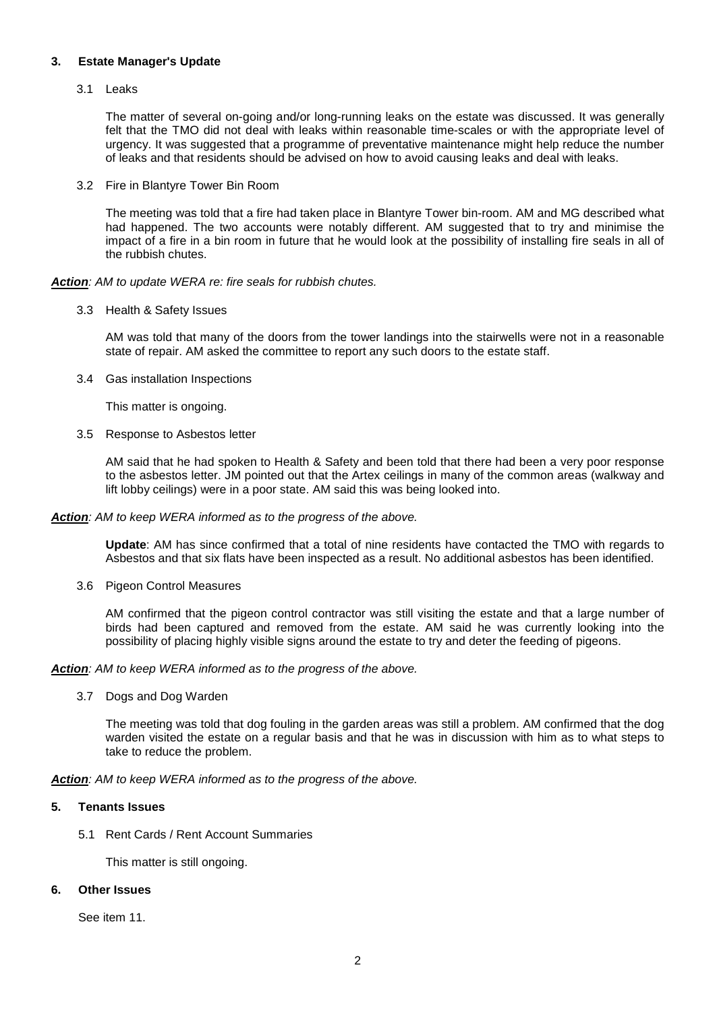#### **3. Estate Manager's Update**

3.1 Leaks

The matter of several on-going and/or long-running leaks on the estate was discussed. It was generally felt that the TMO did not deal with leaks within reasonable time-scales or with the appropriate level of urgency. It was suggested that a programme of preventative maintenance might help reduce the number of leaks and that residents should be advised on how to avoid causing leaks and deal with leaks.

3.2 Fire in Blantyre Tower Bin Room

The meeting was told that a fire had taken place in Blantyre Tower bin-room. AM and MG described what had happened. The two accounts were notably different. AM suggested that to try and minimise the impact of a fire in a bin room in future that he would look at the possibility of installing fire seals in all of the rubbish chutes.

Action: AM to update WERA re: fire seals for rubbish chutes.

3.3 Health & Safety Issues

AM was told that many of the doors from the tower landings into the stairwells were not in a reasonable state of repair. AM asked the committee to report any such doors to the estate staff.

3.4 Gas installation Inspections

This matter is ongoing.

3.5 Response to Asbestos letter

AM said that he had spoken to Health & Safety and been told that there had been a very poor response to the asbestos letter. JM pointed out that the Artex ceilings in many of the common areas (walkway and lift lobby ceilings) were in a poor state. AM said this was being looked into.

# Action: AM to keep WERA informed as to the progress of the above.

**Update**: AM has since confirmed that a total of nine residents have contacted the TMO with regards to Asbestos and that six flats have been inspected as a result. No additional asbestos has been identified.

3.6 Pigeon Control Measures

AM confirmed that the pigeon control contractor was still visiting the estate and that a large number of birds had been captured and removed from the estate. AM said he was currently looking into the possibility of placing highly visible signs around the estate to try and deter the feeding of pigeons.

# **Action**: AM to keep WERA informed as to the progress of the above.

3.7 Dogs and Dog Warden

The meeting was told that dog fouling in the garden areas was still a problem. AM confirmed that the dog warden visited the estate on a regular basis and that he was in discussion with him as to what steps to take to reduce the problem.

Action: AM to keep WERA informed as to the progress of the above.

## **5. Tenants Issues**

5.1 Rent Cards / Rent Account Summaries

This matter is still ongoing.

# **6. Other Issues**

See item 11.